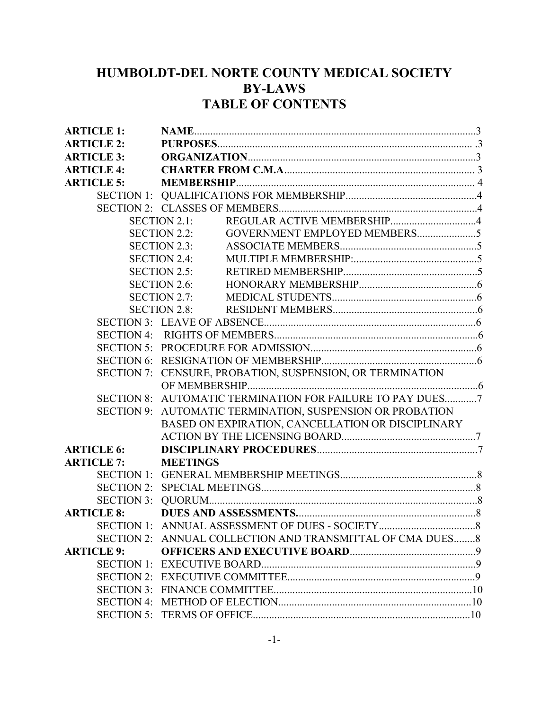# HUMBOLDT-DEL NORTE COUNTY MEDICAL SOCIETY BY-LAWS TABLE OF CONTENTS

| <b>ARTICLE 1:</b> |                                                           |
|-------------------|-----------------------------------------------------------|
| <b>ARTICLE 2:</b> |                                                           |
| <b>ARTICLE 3:</b> |                                                           |
| <b>ARTICLE 4:</b> |                                                           |
| <b>ARTICLE 5:</b> |                                                           |
|                   |                                                           |
|                   |                                                           |
|                   | REGULAR ACTIVE MEMBERSHIP4<br>SECTION 2.1:                |
|                   | GOVERNMENT EMPLOYED MEMBERS5<br>SECTION 2.2:              |
|                   | SECTION 2.3:                                              |
|                   | <b>SECTION 2.4:</b>                                       |
|                   | SECTION 2.5:                                              |
|                   | SECTION 2.6:                                              |
|                   | SECTION 2.7:                                              |
|                   | SECTION 2.8:                                              |
|                   |                                                           |
|                   |                                                           |
|                   |                                                           |
|                   |                                                           |
|                   | SECTION 7: CENSURE, PROBATION, SUSPENSION, OR TERMINATION |
|                   |                                                           |
|                   | SECTION 8: AUTOMATIC TERMINATION FOR FAILURE TO PAY DUES7 |
|                   | SECTION 9: AUTOMATIC TERMINATION, SUSPENSION OR PROBATION |
|                   | BASED ON EXPIRATION, CANCELLATION OR DISCIPLINARY         |
|                   |                                                           |
| <b>ARTICLE 6:</b> |                                                           |
| <b>ARTICLE 7:</b> | <b>MEETINGS</b>                                           |
|                   |                                                           |
|                   |                                                           |
|                   |                                                           |
| <b>ARTICLE 8:</b> |                                                           |
|                   |                                                           |
|                   | SECTION 2: ANNUAL COLLECTION AND TRANSMITTAL OF CMA DUES8 |
| <b>ARTICLE 9:</b> |                                                           |
|                   |                                                           |
|                   |                                                           |
|                   |                                                           |
|                   |                                                           |
|                   |                                                           |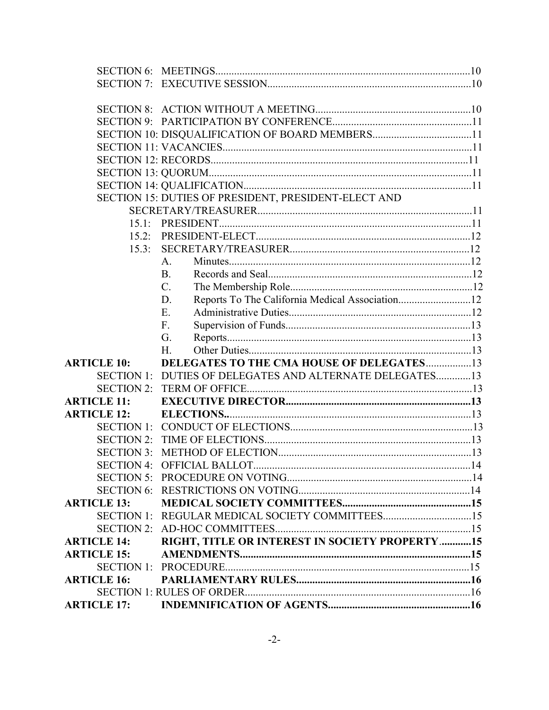|                    | SECTION 10: DISQUALIFICATION OF BOARD MEMBERS11          |  |
|--------------------|----------------------------------------------------------|--|
|                    |                                                          |  |
|                    |                                                          |  |
|                    |                                                          |  |
|                    |                                                          |  |
|                    | SECTION 15: DUTIES OF PRESIDENT, PRESIDENT-ELECT AND     |  |
|                    |                                                          |  |
|                    |                                                          |  |
| 15.2:              |                                                          |  |
| 15.3:              |                                                          |  |
|                    | A <sub>1</sub>                                           |  |
|                    | B.                                                       |  |
|                    | $C_{\cdot}$                                              |  |
|                    | Reports To The California Medical Association12<br>D.    |  |
|                    | Ε.                                                       |  |
|                    | F.                                                       |  |
|                    | G.                                                       |  |
|                    | Η.                                                       |  |
| <b>ARTICLE 10:</b> | DELEGATES TO THE CMA HOUSE OF DELEGATES13                |  |
|                    | SECTION 1: DUTIES OF DELEGATES AND ALTERNATE DELEGATES13 |  |
|                    |                                                          |  |
| <b>ARTICLE 11:</b> |                                                          |  |
| <b>ARTICLE 12:</b> |                                                          |  |
|                    |                                                          |  |
|                    |                                                          |  |
| <b>SECTION 3:</b>  |                                                          |  |
|                    |                                                          |  |
|                    |                                                          |  |
|                    |                                                          |  |
| <b>ARTICLE 13:</b> |                                                          |  |
|                    |                                                          |  |
|                    |                                                          |  |
| <b>ARTICLE 14:</b> | RIGHT, TITLE OR INTEREST IN SOCIETY PROPERTY15           |  |
| <b>ARTICLE 15:</b> |                                                          |  |
|                    |                                                          |  |
| <b>ARTICLE 16:</b> |                                                          |  |
|                    |                                                          |  |
|                    |                                                          |  |
|                    |                                                          |  |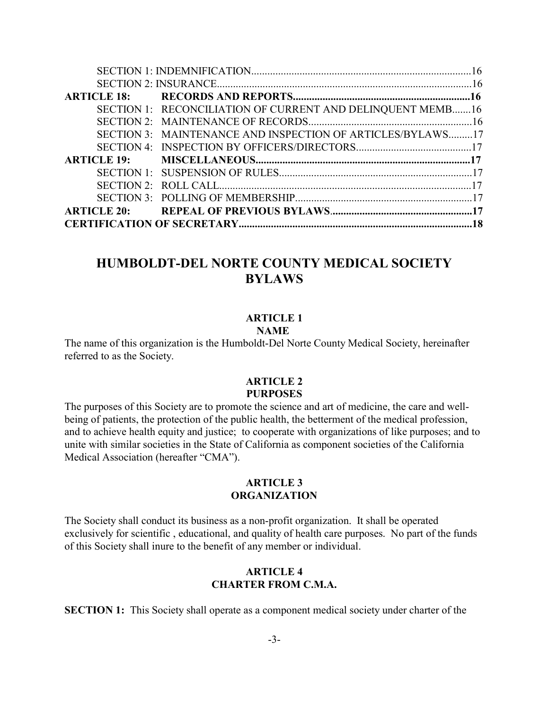|  | SECTION 1: RECONCILIATION OF CURRENT AND DELINQUENT MEMB16 |  |
|--|------------------------------------------------------------|--|
|  |                                                            |  |
|  | SECTION 3: MAINTENANCE AND INSPECTION OF ARTICLES/BYLAWS17 |  |
|  |                                                            |  |
|  |                                                            |  |
|  |                                                            |  |
|  |                                                            |  |
|  |                                                            |  |
|  |                                                            |  |
|  |                                                            |  |

# HUMBOLDT-DEL NORTE COUNTY MEDICAL SOCIETY BYLAWS

### ARTICLE 1

# **NAME**

The name of this organization is the Humboldt-Del Norte County Medical Society, hereinafter referred to as the Society.

### ARTICLE 2 PURPOSES

The purposes of this Society are to promote the science and art of medicine, the care and wellbeing of patients, the protection of the public health, the betterment of the medical profession, and to achieve health equity and justice; to cooperate with organizations of like purposes; and to unite with similar societies in the State of California as component societies of the California Medical Association (hereafter "CMA").

#### ARTICLE 3 **ORGANIZATION**

The Society shall conduct its business as a non-profit organization. It shall be operated exclusively for scientific , educational, and quality of health care purposes. No part of the funds of this Society shall inure to the benefit of any member or individual.

### ARTICLE 4 CHARTER FROM C.M.A.

SECTION 1: This Society shall operate as a component medical society under charter of the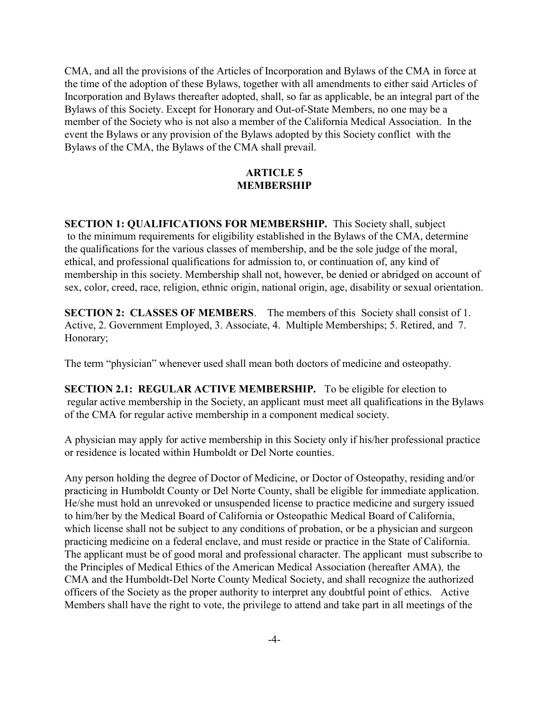CMA, and all the provisions of the Articles of Incorporation and Bylaws of the CMA in force at the time of the adoption of these Bylaws, together with all amendments to either said Articles of Incorporation and Bylaws thereafter adopted, shall, so far as applicable, be an integral part of the Bylaws of this Society. Except for Honorary and Out-of-State Members, no one may be a member of the Society who is not also a member of the California Medical Association. In the event the Bylaws or any provision of the Bylaws adopted by this Society conflict with the Bylaws of the CMA, the Bylaws of the CMA shall prevail.

### ARTICLE 5 MEMBERSHIP

SECTION 1: QUALIFICATIONS FOR MEMBERSHIP. This Society shall, subject to the minimum requirements for eligibility established in the Bylaws of the CMA, determine the qualifications for the various classes of membership, and be the sole judge of the moral, ethical, and professional qualifications for admission to, or continuation of, any kind of membership in this society. Membership shall not, however, be denied or abridged on account of sex, color, creed, race, religion, ethnic origin, national origin, age, disability or sexual orientation.

SECTION 2: CLASSES OF MEMBERS. The members of this Society shall consist of 1. Active, 2. Government Employed, 3. Associate, 4. Multiple Memberships; 5. Retired, and 7. Honorary;

The term "physician" whenever used shall mean both doctors of medicine and osteopathy.

SECTION 2.1: REGULAR ACTIVE MEMBERSHIP. To be eligible for election to regular active membership in the Society, an applicant must meet all qualifications in the Bylaws of the CMA for regular active membership in a component medical society.

A physician may apply for active membership in this Society only if his/her professional practice or residence is located within Humboldt or Del Norte counties.

Any person holding the degree of Doctor of Medicine, or Doctor of Osteopathy, residing and/or practicing in Humboldt County or Del Norte County, shall be eligible for immediate application. He/she must hold an unrevoked or unsuspended license to practice medicine and surgery issued to him/her by the Medical Board of California or Osteopathic Medical Board of California, which license shall not be subject to any conditions of probation, or be a physician and surgeon practicing medicine on a federal enclave, and must reside or practice in the State of California. The applicant must be of good moral and professional character. The applicant must subscribe to the Principles of Medical Ethics of the American Medical Association (hereafter AMA), the CMA and the Humboldt-Del Norte County Medical Society, and shall recognize the authorized officers of the Society as the proper authority to interpret any doubtful point of ethics. Active Members shall have the right to vote, the privilege to attend and take part in all meetings of the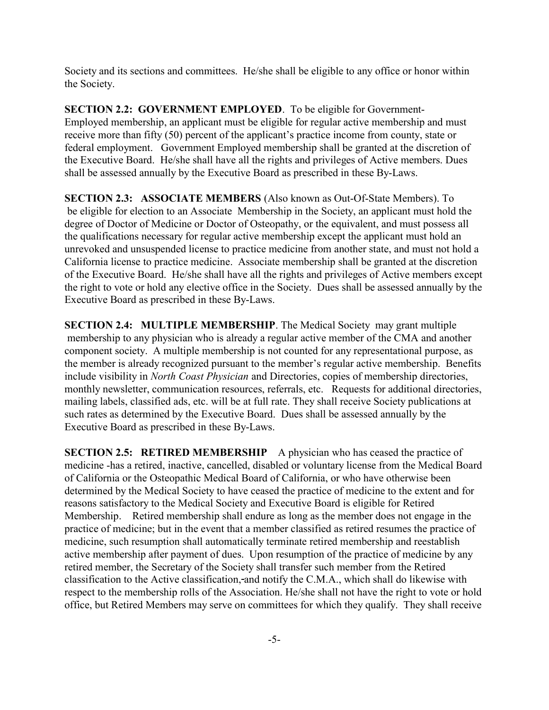Society and its sections and committees. He/she shall be eligible to any office or honor within the Society.

SECTION 2.2: GOVERNMENT EMPLOYED. To be eligible for Government-Employed membership, an applicant must be eligible for regular active membership and must receive more than fifty (50) percent of the applicant's practice income from county, state or federal employment. Government Employed membership shall be granted at the discretion of the Executive Board. He/she shall have all the rights and privileges of Active members. Dues shall be assessed annually by the Executive Board as prescribed in these By-Laws.

SECTION 2.3: ASSOCIATE MEMBERS (Also known as Out-Of-State Members). To be eligible for election to an Associate Membership in the Society, an applicant must hold the degree of Doctor of Medicine or Doctor of Osteopathy, or the equivalent, and must possess all the qualifications necessary for regular active membership except the applicant must hold an unrevoked and unsuspended license to practice medicine from another state, and must not hold a California license to practice medicine. Associate membership shall be granted at the discretion of the Executive Board. He/she shall have all the rights and privileges of Active members except the right to vote or hold any elective office in the Society. Dues shall be assessed annually by the Executive Board as prescribed in these By-Laws.

SECTION 2.4: MULTIPLE MEMBERSHIP. The Medical Society may grant multiple membership to any physician who is already a regular active member of the CMA and another component society. A multiple membership is not counted for any representational purpose, as the member is already recognized pursuant to the member's regular active membership. Benefits include visibility in North Coast Physician and Directories, copies of membership directories, monthly newsletter, communication resources, referrals, etc. Requests for additional directories, mailing labels, classified ads, etc. will be at full rate. They shall receive Society publications at such rates as determined by the Executive Board. Dues shall be assessed annually by the Executive Board as prescribed in these By-Laws.

SECTION 2.5: RETIRED MEMBERSHIP A physician who has ceased the practice of medicine -has a retired, inactive, cancelled, disabled or voluntary license from the Medical Board of California or the Osteopathic Medical Board of California, or who have otherwise been determined by the Medical Society to have ceased the practice of medicine to the extent and for reasons satisfactory to the Medical Society and Executive Board is eligible for Retired Membership. Retired membership shall endure as long as the member does not engage in the practice of medicine; but in the event that a member classified as retired resumes the practice of medicine, such resumption shall automatically terminate retired membership and reestablish active membership after payment of dues. Upon resumption of the practice of medicine by any retired member, the Secretary of the Society shall transfer such member from the Retired classification to the Active classification, and notify the C.M.A., which shall do likewise with respect to the membership rolls of the Association. He/she shall not have the right to vote or hold office, but Retired Members may serve on committees for which they qualify. They shall receive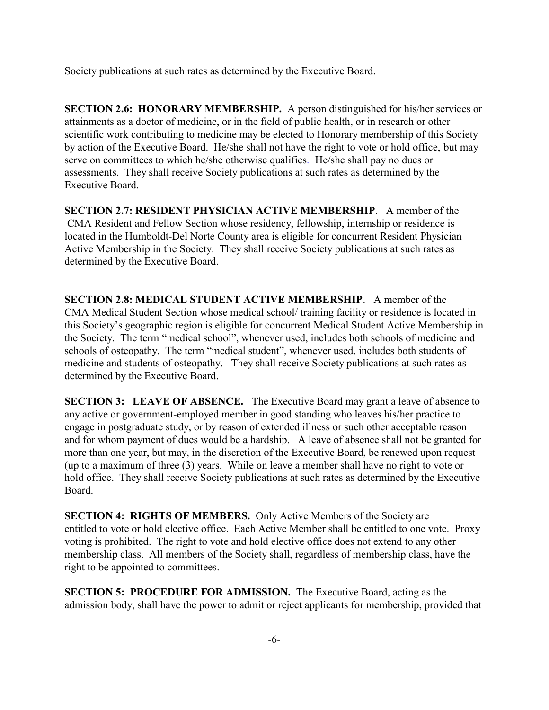Society publications at such rates as determined by the Executive Board.

SECTION 2.6: HONORARY MEMBERSHIP. A person distinguished for his/her services or attainments as a doctor of medicine, or in the field of public health, or in research or other scientific work contributing to medicine may be elected to Honorary membership of this Society by action of the Executive Board. He/she shall not have the right to vote or hold office, but may serve on committees to which he/she otherwise qualifies. He/she shall pay no dues or assessments. They shall receive Society publications at such rates as determined by the Executive Board.

SECTION 2.7: RESIDENT PHYSICIAN ACTIVE MEMBERSHIP. A member of the CMA Resident and Fellow Section whose residency, fellowship, internship or residence is located in the Humboldt-Del Norte County area is eligible for concurrent Resident Physician Active Membership in the Society. They shall receive Society publications at such rates as determined by the Executive Board.

SECTION 2.8: MEDICAL STUDENT ACTIVE MEMBERSHIP. A member of the CMA Medical Student Section whose medical school/ training facility or residence is located in this Society's geographic region is eligible for concurrent Medical Student Active Membership in the Society. The term "medical school", whenever used, includes both schools of medicine and schools of osteopathy. The term "medical student", whenever used, includes both students of medicine and students of osteopathy. They shall receive Society publications at such rates as determined by the Executive Board.

SECTION 3: LEAVE OF ABSENCE. The Executive Board may grant a leave of absence to any active or government-employed member in good standing who leaves his/her practice to engage in postgraduate study, or by reason of extended illness or such other acceptable reason and for whom payment of dues would be a hardship. A leave of absence shall not be granted for more than one year, but may, in the discretion of the Executive Board, be renewed upon request (up to a maximum of three (3) years. While on leave a member shall have no right to vote or hold office. They shall receive Society publications at such rates as determined by the Executive Board.

SECTION 4: RIGHTS OF MEMBERS. Only Active Members of the Society are entitled to vote or hold elective office. Each Active Member shall be entitled to one vote. Proxy voting is prohibited. The right to vote and hold elective office does not extend to any other membership class. All members of the Society shall, regardless of membership class, have the right to be appointed to committees.

SECTION 5: PROCEDURE FOR ADMISSION. The Executive Board, acting as the admission body, shall have the power to admit or reject applicants for membership, provided that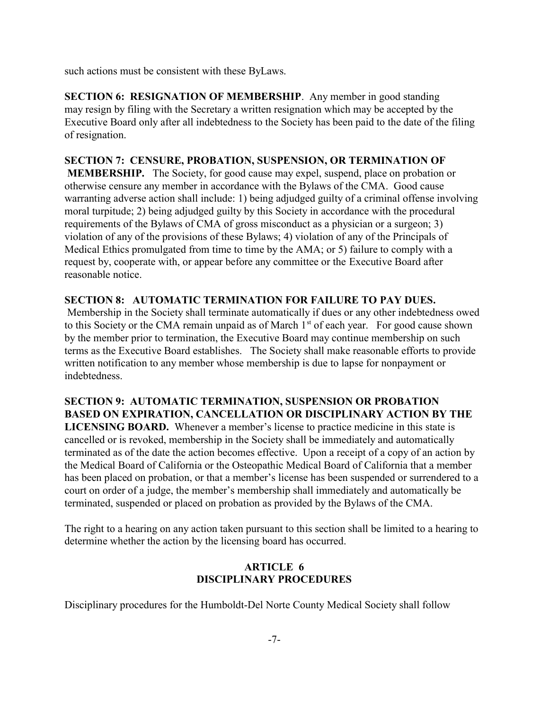such actions must be consistent with these ByLaws.

SECTION 6: RESIGNATION OF MEMBERSHIP. Any member in good standing may resign by filing with the Secretary a written resignation which may be accepted by the Executive Board only after all indebtedness to the Society has been paid to the date of the filing of resignation.

# SECTION 7: CENSURE, PROBATION, SUSPENSION, OR TERMINATION OF MEMBERSHIP. The Society, for good cause may expel, suspend, place on probation or otherwise censure any member in accordance with the Bylaws of the CMA. Good cause warranting adverse action shall include: 1) being adjudged guilty of a criminal offense involving moral turpitude; 2) being adjudged guilty by this Society in accordance with the procedural requirements of the Bylaws of CMA of gross misconduct as a physician or a surgeon; 3) violation of any of the provisions of these Bylaws; 4) violation of any of the Principals of Medical Ethics promulgated from time to time by the AMA; or 5) failure to comply with a request by, cooperate with, or appear before any committee or the Executive Board after

# reasonable notice.

#### SECTION 8: AUTOMATIC TERMINATION FOR FAILURE TO PAY DUES.

 Membership in the Society shall terminate automatically if dues or any other indebtedness owed to this Society or the CMA remain unpaid as of March  $1<sup>st</sup>$  of each year. For good cause shown by the member prior to termination, the Executive Board may continue membership on such terms as the Executive Board establishes. The Society shall make reasonable efforts to provide written notification to any member whose membership is due to lapse for nonpayment or indebtedness.

# SECTION 9: AUTOMATIC TERMINATION, SUSPENSION OR PROBATION BASED ON EXPIRATION, CANCELLATION OR DISCIPLINARY ACTION BY THE

LICENSING BOARD. Whenever a member's license to practice medicine in this state is cancelled or is revoked, membership in the Society shall be immediately and automatically terminated as of the date the action becomes effective. Upon a receipt of a copy of an action by the Medical Board of California or the Osteopathic Medical Board of California that a member has been placed on probation, or that a member's license has been suspended or surrendered to a court on order of a judge, the member's membership shall immediately and automatically be terminated, suspended or placed on probation as provided by the Bylaws of the CMA.

The right to a hearing on any action taken pursuant to this section shall be limited to a hearing to determine whether the action by the licensing board has occurred.

# ARTICLE 6 DISCIPLINARY PROCEDURES

Disciplinary procedures for the Humboldt-Del Norte County Medical Society shall follow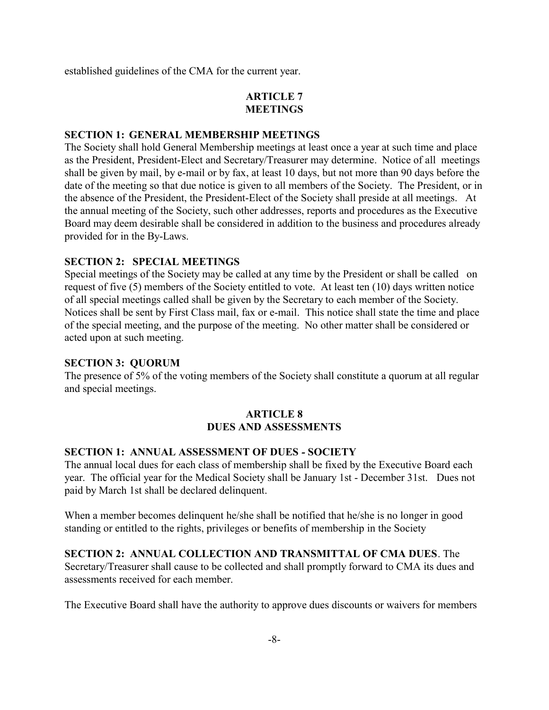established guidelines of the CMA for the current year.

# ARTICLE 7 MEETINGS

#### SECTION 1: GENERAL MEMBERSHIP MEETINGS

The Society shall hold General Membership meetings at least once a year at such time and place as the President, President-Elect and Secretary/Treasurer may determine. Notice of all meetings shall be given by mail, by e-mail or by fax, at least 10 days, but not more than 90 days before the date of the meeting so that due notice is given to all members of the Society. The President, or in the absence of the President, the President-Elect of the Society shall preside at all meetings. At the annual meeting of the Society, such other addresses, reports and procedures as the Executive Board may deem desirable shall be considered in addition to the business and procedures already provided for in the By-Laws.

#### SECTION 2: SPECIAL MEETINGS

Special meetings of the Society may be called at any time by the President or shall be called on request of five (5) members of the Society entitled to vote. At least ten (10) days written notice of all special meetings called shall be given by the Secretary to each member of the Society. Notices shall be sent by First Class mail, fax or e-mail. This notice shall state the time and place of the special meeting, and the purpose of the meeting. No other matter shall be considered or acted upon at such meeting.

#### SECTION 3: QUORUM

The presence of 5% of the voting members of the Society shall constitute a quorum at all regular and special meetings.

# ARTICLE 8 DUES AND ASSESSMENTS

#### SECTION 1: ANNUAL ASSESSMENT OF DUES - SOCIETY

The annual local dues for each class of membership shall be fixed by the Executive Board each year. The official year for the Medical Society shall be January 1st - December 31st. Dues not paid by March 1st shall be declared delinquent.

When a member becomes delinquent he/she shall be notified that he/she is no longer in good standing or entitled to the rights, privileges or benefits of membership in the Society

SECTION 2: ANNUAL COLLECTION AND TRANSMITTAL OF CMA DUES. The Secretary/Treasurer shall cause to be collected and shall promptly forward to CMA its dues and assessments received for each member.

The Executive Board shall have the authority to approve dues discounts or waivers for members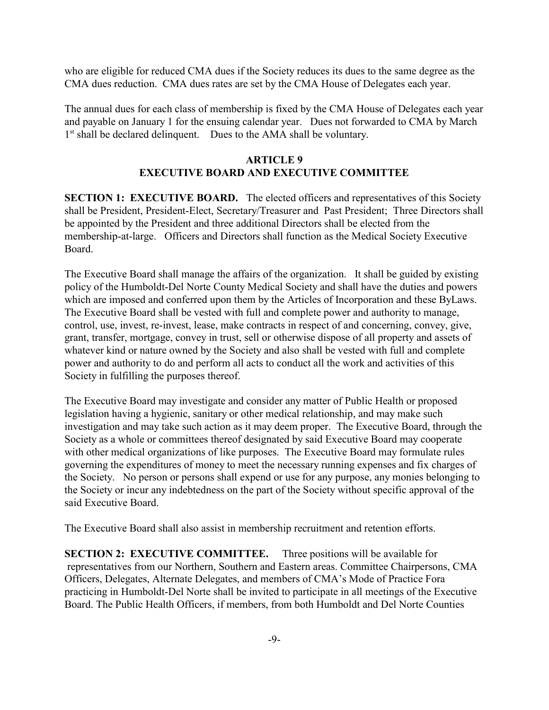who are eligible for reduced CMA dues if the Society reduces its dues to the same degree as the CMA dues reduction. CMA dues rates are set by the CMA House of Delegates each year.

The annual dues for each class of membership is fixed by the CMA House of Delegates each year and payable on January 1 for the ensuing calendar year. Dues not forwarded to CMA by March 1<sup>st</sup> shall be declared delinquent. Dues to the AMA shall be voluntary.

## ARTICLE 9 EXECUTIVE BOARD AND EXECUTIVE COMMITTEE

SECTION 1: EXECUTIVE BOARD. The elected officers and representatives of this Society shall be President, President-Elect, Secretary/Treasurer and Past President; Three Directors shall be appointed by the President and three additional Directors shall be elected from the membership-at-large. Officers and Directors shall function as the Medical Society Executive Board.

The Executive Board shall manage the affairs of the organization. It shall be guided by existing policy of the Humboldt-Del Norte County Medical Society and shall have the duties and powers which are imposed and conferred upon them by the Articles of Incorporation and these ByLaws. The Executive Board shall be vested with full and complete power and authority to manage, control, use, invest, re-invest, lease, make contracts in respect of and concerning, convey, give, grant, transfer, mortgage, convey in trust, sell or otherwise dispose of all property and assets of whatever kind or nature owned by the Society and also shall be vested with full and complete power and authority to do and perform all acts to conduct all the work and activities of this Society in fulfilling the purposes thereof.

The Executive Board may investigate and consider any matter of Public Health or proposed legislation having a hygienic, sanitary or other medical relationship, and may make such investigation and may take such action as it may deem proper. The Executive Board, through the Society as a whole or committees thereof designated by said Executive Board may cooperate with other medical organizations of like purposes. The Executive Board may formulate rules governing the expenditures of money to meet the necessary running expenses and fix charges of the Society. No person or persons shall expend or use for any purpose, any monies belonging to the Society or incur any indebtedness on the part of the Society without specific approval of the said Executive Board.

The Executive Board shall also assist in membership recruitment and retention efforts.

SECTION 2: EXECUTIVE COMMITTEE. Three positions will be available for representatives from our Northern, Southern and Eastern areas. Committee Chairpersons, CMA Officers, Delegates, Alternate Delegates, and members of CMA's Mode of Practice Fora practicing in Humboldt-Del Norte shall be invited to participate in all meetings of the Executive Board. The Public Health Officers, if members, from both Humboldt and Del Norte Counties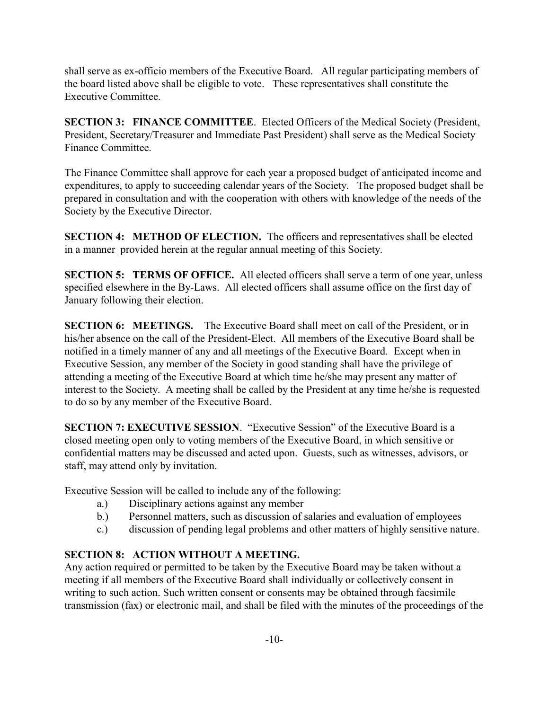shall serve as ex-officio members of the Executive Board. All regular participating members of the board listed above shall be eligible to vote. These representatives shall constitute the Executive Committee.

SECTION 3: FINANCE COMMITTEE. Elected Officers of the Medical Society (President, President, Secretary/Treasurer and Immediate Past President) shall serve as the Medical Society Finance Committee.

The Finance Committee shall approve for each year a proposed budget of anticipated income and expenditures, to apply to succeeding calendar years of the Society. The proposed budget shall be prepared in consultation and with the cooperation with others with knowledge of the needs of the Society by the Executive Director.

SECTION 4: METHOD OF ELECTION. The officers and representatives shall be elected in a manner provided herein at the regular annual meeting of this Society.

SECTION 5: TERMS OF OFFICE. All elected officers shall serve a term of one year, unless specified elsewhere in the By-Laws. All elected officers shall assume office on the first day of January following their election.

SECTION 6: MEETINGS. The Executive Board shall meet on call of the President, or in his/her absence on the call of the President-Elect. All members of the Executive Board shall be notified in a timely manner of any and all meetings of the Executive Board. Except when in Executive Session, any member of the Society in good standing shall have the privilege of attending a meeting of the Executive Board at which time he/she may present any matter of interest to the Society. A meeting shall be called by the President at any time he/she is requested to do so by any member of the Executive Board.

SECTION 7: EXECUTIVE SESSION. "Executive Session" of the Executive Board is a closed meeting open only to voting members of the Executive Board, in which sensitive or confidential matters may be discussed and acted upon. Guests, such as witnesses, advisors, or staff, may attend only by invitation.

Executive Session will be called to include any of the following:

- a.) Disciplinary actions against any member
- b.) Personnel matters, such as discussion of salaries and evaluation of employees
- c.) discussion of pending legal problems and other matters of highly sensitive nature.

# SECTION 8: ACTION WITHOUT A MEETING.

Any action required or permitted to be taken by the Executive Board may be taken without a meeting if all members of the Executive Board shall individually or collectively consent in writing to such action. Such written consent or consents may be obtained through facsimile transmission (fax) or electronic mail, and shall be filed with the minutes of the proceedings of the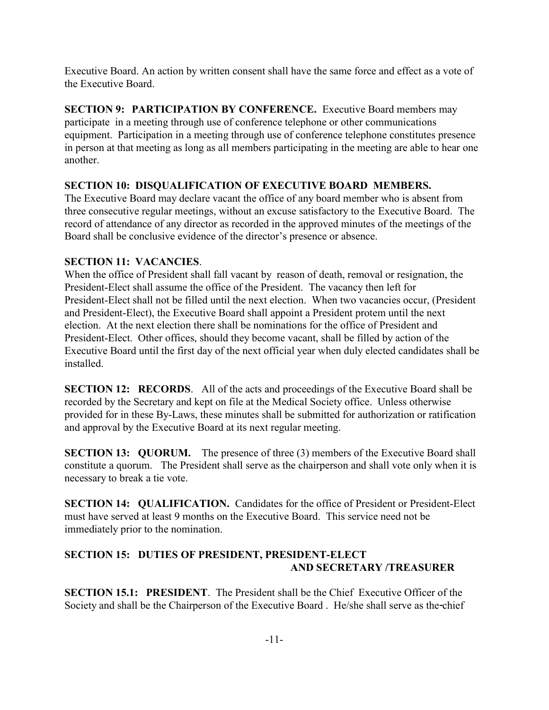Executive Board. An action by written consent shall have the same force and effect as a vote of the Executive Board.

SECTION 9: PARTICIPATION BY CONFERENCE. Executive Board members may participate in a meeting through use of conference telephone or other communications equipment. Participation in a meeting through use of conference telephone constitutes presence in person at that meeting as long as all members participating in the meeting are able to hear one another.

# SECTION 10: DISQUALIFICATION OF EXECUTIVE BOARD MEMBERS.

The Executive Board may declare vacant the office of any board member who is absent from three consecutive regular meetings, without an excuse satisfactory to the Executive Board. The record of attendance of any director as recorded in the approved minutes of the meetings of the Board shall be conclusive evidence of the director's presence or absence.

# SECTION 11: VACANCIES.

When the office of President shall fall vacant by reason of death, removal or resignation, the President-Elect shall assume the office of the President. The vacancy then left for President-Elect shall not be filled until the next election. When two vacancies occur, (President and President-Elect), the Executive Board shall appoint a President protem until the next election. At the next election there shall be nominations for the office of President and President-Elect. Other offices, should they become vacant, shall be filled by action of the Executive Board until the first day of the next official year when duly elected candidates shall be installed.

SECTION 12: RECORDS. All of the acts and proceedings of the Executive Board shall be recorded by the Secretary and kept on file at the Medical Society office. Unless otherwise provided for in these By-Laws, these minutes shall be submitted for authorization or ratification and approval by the Executive Board at its next regular meeting.

**SECTION 13: QUORUM.** The presence of three (3) members of the Executive Board shall constitute a quorum. The President shall serve as the chairperson and shall vote only when it is necessary to break a tie vote.

SECTION 14: QUALIFICATION. Candidates for the office of President or President-Elect must have served at least 9 months on the Executive Board. This service need not be immediately prior to the nomination.

# SECTION 15: DUTIES OF PRESIDENT, PRESIDENT-ELECT AND SECRETARY /TREASURER

SECTION 15.1: PRESIDENT. The President shall be the Chief Executive Officer of the Society and shall be the Chairperson of the Executive Board . He/she shall serve as the chief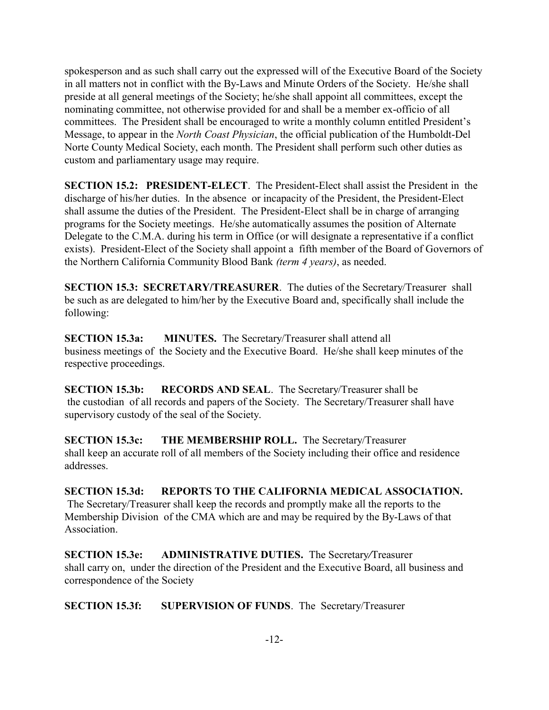spokesperson and as such shall carry out the expressed will of the Executive Board of the Society in all matters not in conflict with the By-Laws and Minute Orders of the Society. He/she shall preside at all general meetings of the Society; he/she shall appoint all committees, except the nominating committee, not otherwise provided for and shall be a member ex-officio of all committees. The President shall be encouraged to write a monthly column entitled President's Message, to appear in the North Coast Physician, the official publication of the Humboldt-Del Norte County Medical Society, each month. The President shall perform such other duties as custom and parliamentary usage may require.

SECTION 15.2: PRESIDENT-ELECT. The President-Elect shall assist the President in the discharge of his/her duties. In the absence or incapacity of the President, the President-Elect shall assume the duties of the President. The President-Elect shall be in charge of arranging programs for the Society meetings. He/she automatically assumes the position of Alternate Delegate to the C.M.A. during his term in Office (or will designate a representative if a conflict exists). President-Elect of the Society shall appoint a fifth member of the Board of Governors of the Northern California Community Blood Bank (term 4 years), as needed.

SECTION 15.3: SECRETARY/TREASURER. The duties of the Secretary/Treasurer shall be such as are delegated to him/her by the Executive Board and, specifically shall include the following:

SECTION 15.3a: MINUTES. The Secretary/Treasurer shall attend all business meetings of the Society and the Executive Board. He/she shall keep minutes of the respective proceedings.

SECTION 15.3b: RECORDS AND SEAL. The Secretary/Treasurer shall be the custodian of all records and papers of the Society. The Secretary/Treasurer shall have supervisory custody of the seal of the Society.

SECTION 15.3c: THE MEMBERSHIP ROLL. The Secretary/Treasurer shall keep an accurate roll of all members of the Society including their office and residence addresses.

SECTION 15.3d: REPORTS TO THE CALIFORNIA MEDICAL ASSOCIATION. The Secretary/Treasurer shall keep the records and promptly make all the reports to the Membership Division of the CMA which are and may be required by the By-Laws of that Association.

SECTION 15.3e: ADMINISTRATIVE DUTIES. The Secretary/Treasurer shall carry on, under the direction of the President and the Executive Board, all business and correspondence of the Society

SECTION 15.3f: SUPERVISION OF FUNDS. The Secretary/Treasurer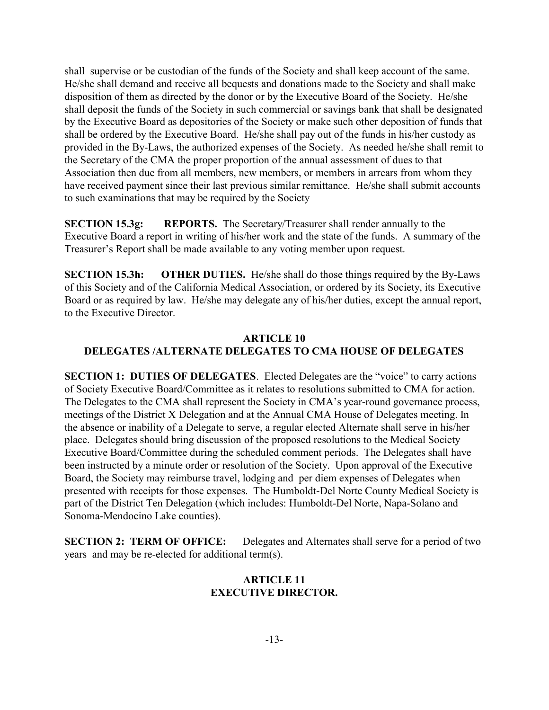shall supervise or be custodian of the funds of the Society and shall keep account of the same. He/she shall demand and receive all bequests and donations made to the Society and shall make disposition of them as directed by the donor or by the Executive Board of the Society. He/she shall deposit the funds of the Society in such commercial or savings bank that shall be designated by the Executive Board as depositories of the Society or make such other deposition of funds that shall be ordered by the Executive Board. He/she shall pay out of the funds in his/her custody as provided in the By-Laws, the authorized expenses of the Society. As needed he/she shall remit to the Secretary of the CMA the proper proportion of the annual assessment of dues to that Association then due from all members, new members, or members in arrears from whom they have received payment since their last previous similar remittance. He/she shall submit accounts to such examinations that may be required by the Society

SECTION 15.3g: REPORTS. The Secretary/Treasurer shall render annually to the Executive Board a report in writing of his/her work and the state of the funds. A summary of the Treasurer's Report shall be made available to any voting member upon request.

SECTION 15.3h: OTHER DUTIES. He/she shall do those things required by the By-Laws of this Society and of the California Medical Association, or ordered by its Society, its Executive Board or as required by law. He/she may delegate any of his/her duties, except the annual report, to the Executive Director.

### ARTICLE 10 DELEGATES /ALTERNATE DELEGATES TO CMA HOUSE OF DELEGATES

SECTION 1: DUTIES OF DELEGATES. Elected Delegates are the "voice" to carry actions of Society Executive Board/Committee as it relates to resolutions submitted to CMA for action. The Delegates to the CMA shall represent the Society in CMA's year-round governance process, meetings of the District X Delegation and at the Annual CMA House of Delegates meeting. In the absence or inability of a Delegate to serve, a regular elected Alternate shall serve in his/her place. Delegates should bring discussion of the proposed resolutions to the Medical Society Executive Board/Committee during the scheduled comment periods. The Delegates shall have been instructed by a minute order or resolution of the Society. Upon approval of the Executive Board, the Society may reimburse travel, lodging and per diem expenses of Delegates when presented with receipts for those expenses. The Humboldt-Del Norte County Medical Society is part of the District Ten Delegation (which includes: Humboldt-Del Norte, Napa-Solano and Sonoma-Mendocino Lake counties).

SECTION 2: TERM OF OFFICE: Delegates and Alternates shall serve for a period of two years and may be re-elected for additional term(s).

### ARTICLE 11 EXECUTIVE DIRECTOR.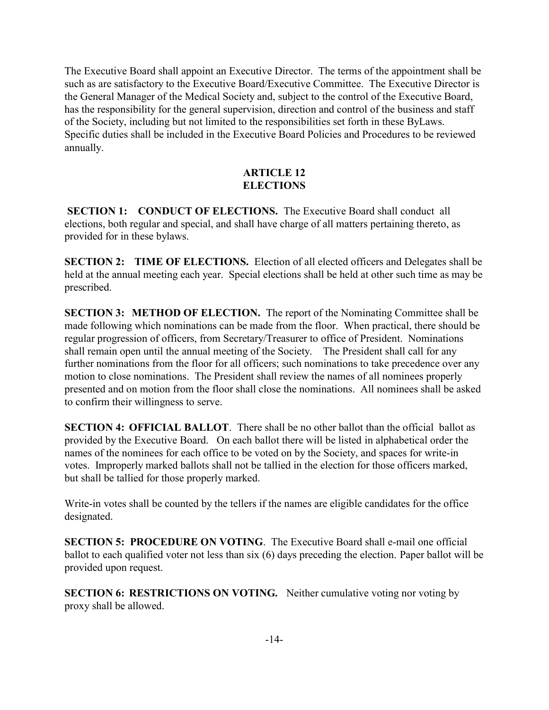The Executive Board shall appoint an Executive Director. The terms of the appointment shall be such as are satisfactory to the Executive Board/Executive Committee. The Executive Director is the General Manager of the Medical Society and, subject to the control of the Executive Board, has the responsibility for the general supervision, direction and control of the business and staff of the Society, including but not limited to the responsibilities set forth in these ByLaws. Specific duties shall be included in the Executive Board Policies and Procedures to be reviewed annually.

# ARTICLE 12 **ELECTIONS**

SECTION 1: CONDUCT OF ELECTIONS. The Executive Board shall conduct all elections, both regular and special, and shall have charge of all matters pertaining thereto, as provided for in these bylaws.

SECTION 2: TIME OF ELECTIONS. Election of all elected officers and Delegates shall be held at the annual meeting each year. Special elections shall be held at other such time as may be prescribed.

SECTION 3: METHOD OF ELECTION. The report of the Nominating Committee shall be made following which nominations can be made from the floor. When practical, there should be regular progression of officers, from Secretary/Treasurer to office of President. Nominations shall remain open until the annual meeting of the Society. The President shall call for any further nominations from the floor for all officers; such nominations to take precedence over any motion to close nominations. The President shall review the names of all nominees properly presented and on motion from the floor shall close the nominations. All nominees shall be asked to confirm their willingness to serve.

SECTION 4: OFFICIAL BALLOT. There shall be no other ballot than the official ballot as provided by the Executive Board. On each ballot there will be listed in alphabetical order the names of the nominees for each office to be voted on by the Society, and spaces for write-in votes. Improperly marked ballots shall not be tallied in the election for those officers marked, but shall be tallied for those properly marked.

Write-in votes shall be counted by the tellers if the names are eligible candidates for the office designated.

SECTION 5: PROCEDURE ON VOTING. The Executive Board shall e-mail one official ballot to each qualified voter not less than six (6) days preceding the election. Paper ballot will be provided upon request.

SECTION 6: RESTRICTIONS ON VOTING. Neither cumulative voting nor voting by proxy shall be allowed.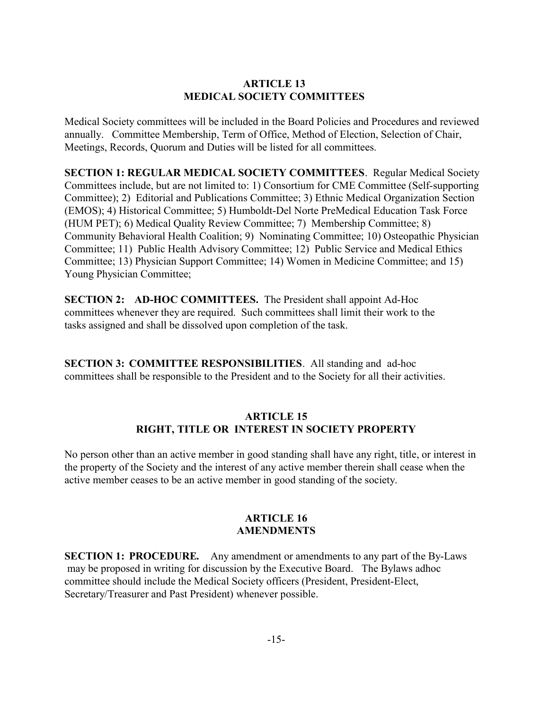# ARTICLE 13 MEDICAL SOCIETY COMMITTEES

Medical Society committees will be included in the Board Policies and Procedures and reviewed annually. Committee Membership, Term of Office, Method of Election, Selection of Chair, Meetings, Records, Quorum and Duties will be listed for all committees.

SECTION 1: REGULAR MEDICAL SOCIETY COMMITTEES. Regular Medical Society Committees include, but are not limited to: 1) Consortium for CME Committee (Self-supporting Committee); 2) Editorial and Publications Committee; 3) Ethnic Medical Organization Section (EMOS); 4) Historical Committee; 5) Humboldt-Del Norte PreMedical Education Task Force (HUM PET); 6) Medical Quality Review Committee; 7) Membership Committee; 8) Community Behavioral Health Coalition; 9) Nominating Committee; 10) Osteopathic Physician Committee; 11) Public Health Advisory Committee; 12) Public Service and Medical Ethics Committee; 13) Physician Support Committee; 14) Women in Medicine Committee; and 15) Young Physician Committee;

SECTION 2: AD-HOC COMMITTEES. The President shall appoint Ad-Hoc committees whenever they are required. Such committees shall limit their work to the tasks assigned and shall be dissolved upon completion of the task.

SECTION 3: COMMITTEE RESPONSIBILITIES. All standing and ad-hoc committees shall be responsible to the President and to the Society for all their activities.

# ARTICLE 15 RIGHT, TITLE OR INTEREST IN SOCIETY PROPERTY

No person other than an active member in good standing shall have any right, title, or interest in the property of the Society and the interest of any active member therein shall cease when the active member ceases to be an active member in good standing of the society.

# ARTICLE 16 AMENDMENTS

SECTION 1: PROCEDURE. Any amendment or amendments to any part of the By-Laws may be proposed in writing for discussion by the Executive Board. The Bylaws adhoc committee should include the Medical Society officers (President, President-Elect, Secretary/Treasurer and Past President) whenever possible.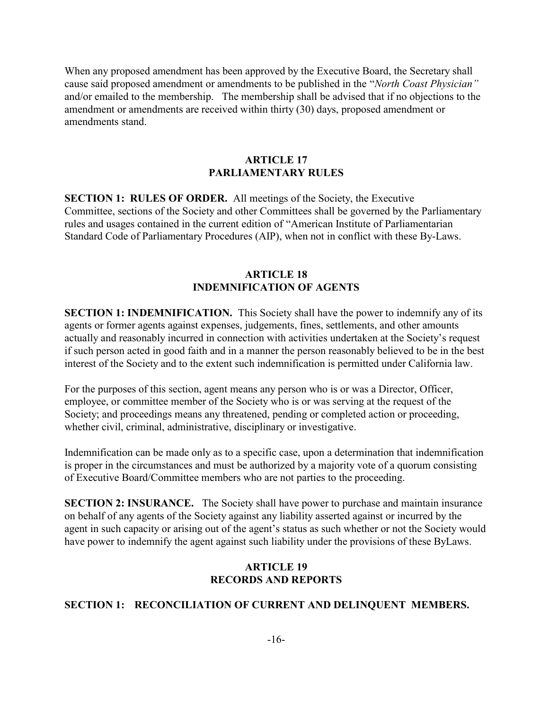When any proposed amendment has been approved by the Executive Board, the Secretary shall cause said proposed amendment or amendments to be published in the "North Coast Physician" and/or emailed to the membership. The membership shall be advised that if no objections to the amendment or amendments are received within thirty (30) days, proposed amendment or amendments stand.

#### ARTICLE 17 PARLIAMENTARY RULES

SECTION 1: RULES OF ORDER. All meetings of the Society, the Executive Committee, sections of the Society and other Committees shall be governed by the Parliamentary rules and usages contained in the current edition of "American Institute of Parliamentarian Standard Code of Parliamentary Procedures (AIP), when not in conflict with these By-Laws.

#### ARTICLE 18 INDEMNIFICATION OF AGENTS

SECTION 1: INDEMNIFICATION. This Society shall have the power to indemnify any of its agents or former agents against expenses, judgements, fines, settlements, and other amounts actually and reasonably incurred in connection with activities undertaken at the Society's request if such person acted in good faith and in a manner the person reasonably believed to be in the best interest of the Society and to the extent such indemnification is permitted under California law.

For the purposes of this section, agent means any person who is or was a Director, Officer, employee, or committee member of the Society who is or was serving at the request of the Society; and proceedings means any threatened, pending or completed action or proceeding, whether civil, criminal, administrative, disciplinary or investigative.

Indemnification can be made only as to a specific case, upon a determination that indemnification is proper in the circumstances and must be authorized by a majority vote of a quorum consisting of Executive Board/Committee members who are not parties to the proceeding.

SECTION 2: INSURANCE. The Society shall have power to purchase and maintain insurance on behalf of any agents of the Society against any liability asserted against or incurred by the agent in such capacity or arising out of the agent's status as such whether or not the Society would have power to indemnify the agent against such liability under the provisions of these ByLaws.

# ARTICLE 19 RECORDS AND REPORTS

### SECTION 1: RECONCILIATION OF CURRENT AND DELINQUENT MEMBERS.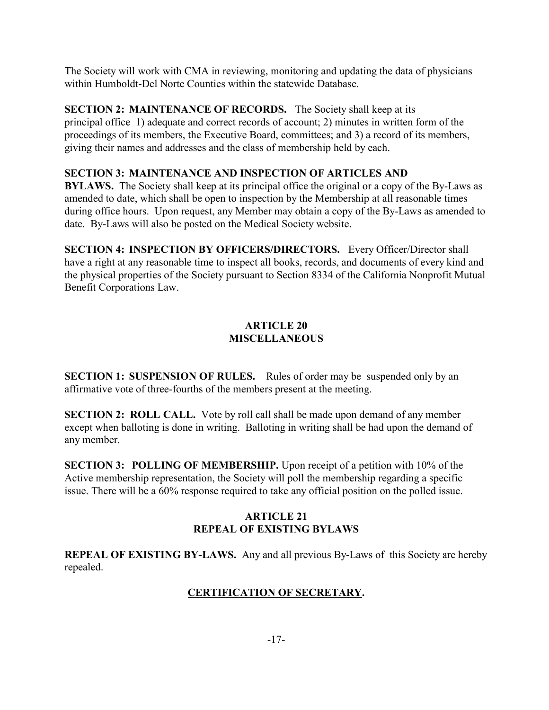The Society will work with CMA in reviewing, monitoring and updating the data of physicians within Humboldt-Del Norte Counties within the statewide Database.

SECTION 2: MAINTENANCE OF RECORDS. The Society shall keep at its principal office 1) adequate and correct records of account; 2) minutes in written form of the proceedings of its members, the Executive Board, committees; and 3) a record of its members, giving their names and addresses and the class of membership held by each.

# SECTION 3: MAINTENANCE AND INSPECTION OF ARTICLES AND

BYLAWS. The Society shall keep at its principal office the original or a copy of the By-Laws as amended to date, which shall be open to inspection by the Membership at all reasonable times during office hours. Upon request, any Member may obtain a copy of the By-Laws as amended to date. By-Laws will also be posted on the Medical Society website.

SECTION 4: INSPECTION BY OFFICERS/DIRECTORS. Every Officer/Director shall have a right at any reasonable time to inspect all books, records, and documents of every kind and the physical properties of the Society pursuant to Section 8334 of the California Nonprofit Mutual Benefit Corporations Law.

# ARTICLE 20 **MISCELLANEOUS**

SECTION 1: SUSPENSION OF RULES. Rules of order may be suspended only by an affirmative vote of three-fourths of the members present at the meeting.

SECTION 2: ROLL CALL. Vote by roll call shall be made upon demand of any member except when balloting is done in writing. Balloting in writing shall be had upon the demand of any member.

SECTION 3: POLLING OF MEMBERSHIP. Upon receipt of a petition with 10% of the Active membership representation, the Society will poll the membership regarding a specific issue. There will be a 60% response required to take any official position on the polled issue.

# ARTICLE 21 REPEAL OF EXISTING BYLAWS

REPEAL OF EXISTING BY-LAWS. Any and all previous By-Laws of this Society are hereby repealed.

# CERTIFICATION OF SECRETARY.